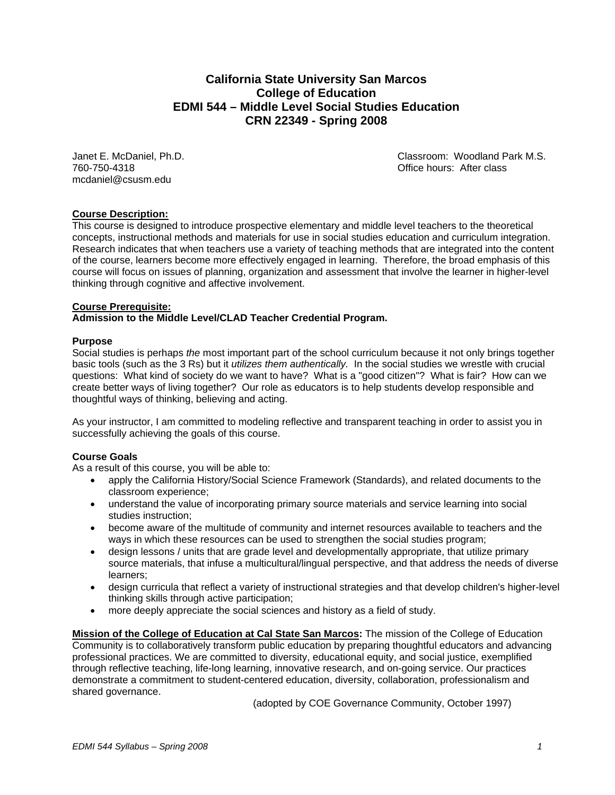## **California State University San Marcos College of Education EDMI 544 – Middle Level Social Studies Education CRN 22349 - Spring 2008**

760-750-4318 Office hours: After class mcdaniel@csusm.edu

Janet E. McDaniel, Ph.D. Classroom: Woodland Park M.S.

#### **Course Description:**

This course is designed to introduce prospective elementary and middle level teachers to the theoretical concepts, instructional methods and materials for use in social studies education and curriculum integration. Research indicates that when teachers use a variety of teaching methods that are integrated into the content of the course, learners become more effectively engaged in learning. Therefore, the broad emphasis of this course will focus on issues of planning, organization and assessment that involve the learner in higher-level thinking through cognitive and affective involvement.

#### **Course Prerequisite:**

#### **Admission to the Middle Level/CLAD Teacher Credential Program.**

#### **Purpose**

Social studies is perhaps *the* most important part of the school curriculum because it not only brings together basic tools (such as the 3 Rs) but it *utilizes them authentically.* In the social studies we wrestle with crucial questions: What kind of society do we want to have? What is a "good citizen"? What is fair? How can we create better ways of living together? Our role as educators is to help students develop responsible and thoughtful ways of thinking, believing and acting.

As your instructor, I am committed to modeling reflective and transparent teaching in order to assist you in successfully achieving the goals of this course.

#### **Course Goals**

As a result of this course, you will be able to:

- apply the California History/Social Science Framework (Standards), and related documents to the classroom experience;
- understand the value of incorporating primary source materials and service learning into social studies instruction;
- become aware of the multitude of community and internet resources available to teachers and the ways in which these resources can be used to strengthen the social studies program;
- design lessons / units that are grade level and developmentally appropriate, that utilize primary source materials, that infuse a multicultural/lingual perspective, and that address the needs of diverse learners;
- design curricula that reflect a variety of instructional strategies and that develop children's higher-level thinking skills through active participation;
- more deeply appreciate the social sciences and history as a field of study.

**Mission of the College of Education at Cal State San Marcos:** The mission of the College of Education Community is to collaboratively transform public education by preparing thoughtful educators and advancing professional practices. We are committed to diversity, educational equity, and social justice, exemplified through reflective teaching, life-long learning, innovative research, and on-going service. Our practices demonstrate a commitment to student-centered education, diversity, collaboration, professionalism and shared governance.

(adopted by COE Governance Community, October 1997)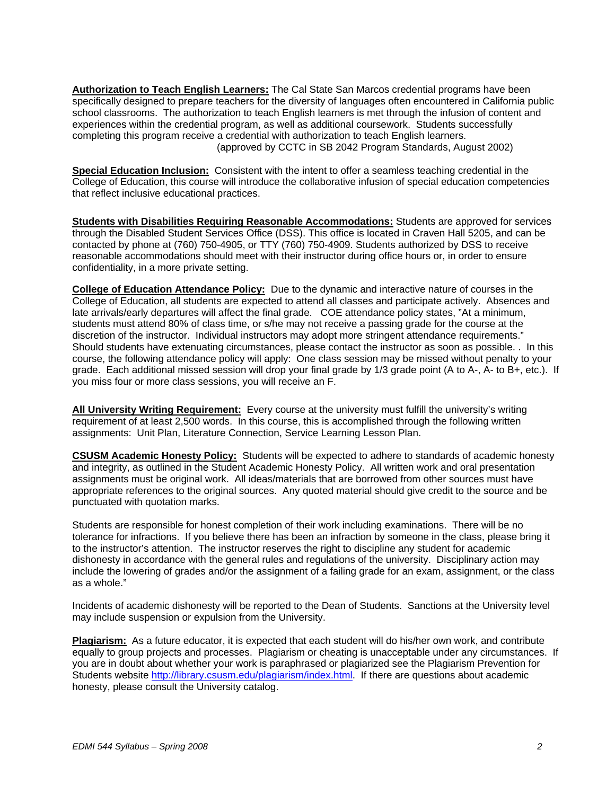**Authorization to Teach English Learners:** The Cal State San Marcos credential programs have been specifically designed to prepare teachers for the diversity of languages often encountered in California public school classrooms. The authorization to teach English learners is met through the infusion of content and experiences within the credential program, as well as additional coursework. Students successfully completing this program receive a credential with authorization to teach English learners. (approved by CCTC in SB 2042 Program Standards, August 2002)

**Special Education Inclusion:** Consistent with the intent to offer a seamless teaching credential in the College of Education, this course will introduce the collaborative infusion of special education competencies that reflect inclusive educational practices.

**Students with Disabilities Requiring Reasonable Accommodations:** Students are approved for services through the Disabled Student Services Office (DSS). This office is located in Craven Hall 5205, and can be contacted by phone at (760) 750-4905, or TTY (760) 750-4909. Students authorized by DSS to receive reasonable accommodations should meet with their instructor during office hours or, in order to ensure confidentiality, in a more private setting.

**College of Education Attendance Policy:** Due to the dynamic and interactive nature of courses in the College of Education, all students are expected to attend all classes and participate actively. Absences and late arrivals/early departures will affect the final grade. COE attendance policy states, "At a minimum, students must attend 80% of class time, or s/he may not receive a passing grade for the course at the discretion of the instructor. Individual instructors may adopt more stringent attendance requirements." Should students have extenuating circumstances, please contact the instructor as soon as possible. . In this course, the following attendance policy will apply: One class session may be missed without penalty to your grade. Each additional missed session will drop your final grade by 1/3 grade point (A to A-, A- to B+, etc.). If you miss four or more class sessions, you will receive an F.

**All University Writing Requirement:** Every course at the university must fulfill the university's writing requirement of at least 2,500 words. In this course, this is accomplished through the following written assignments: Unit Plan, Literature Connection, Service Learning Lesson Plan.

**CSUSM Academic Honesty Policy:** Students will be expected to adhere to standards of academic honesty and integrity, as outlined in the Student Academic Honesty Policy. All written work and oral presentation assignments must be original work. All ideas/materials that are borrowed from other sources must have appropriate references to the original sources. Any quoted material should give credit to the source and be punctuated with quotation marks.

Students are responsible for honest completion of their work including examinations. There will be no tolerance for infractions. If you believe there has been an infraction by someone in the class, please bring it to the instructor's attention. The instructor reserves the right to discipline any student for academic dishonesty in accordance with the general rules and regulations of the university. Disciplinary action may include the lowering of grades and/or the assignment of a failing grade for an exam, assignment, or the class as a whole."

Incidents of academic dishonesty will be reported to the Dean of Students. Sanctions at the University level may include suspension or expulsion from the University.

**Plagiarism:** As a future educator, it is expected that each student will do his/her own work, and contribute equally to group projects and processes. Plagiarism or cheating is unacceptable under any circumstances. If you are in doubt about whether your work is paraphrased or plagiarized see the Plagiarism Prevention for Students website http://library.csusm.edu/plagiarism/index.html. If there are questions about academic honesty, please consult the University catalog.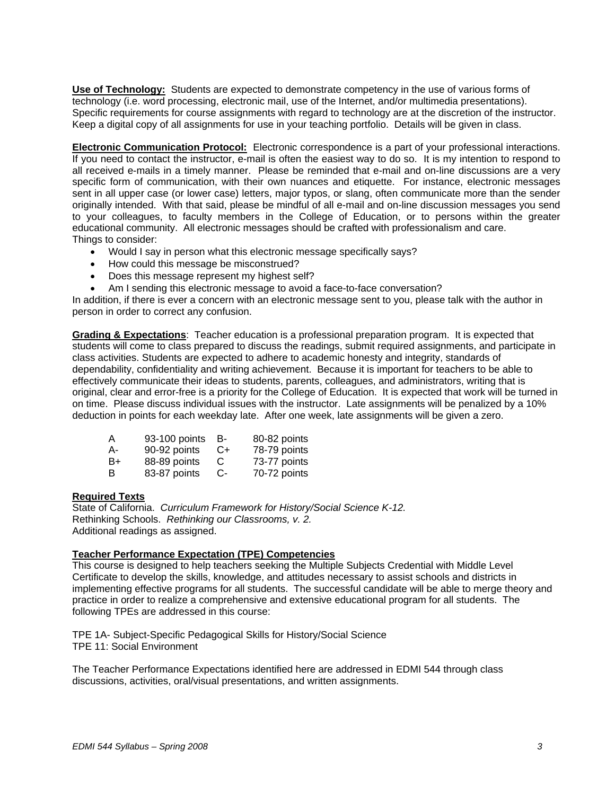**Use of Technology:** Students are expected to demonstrate competency in the use of various forms of technology (i.e. word processing, electronic mail, use of the Internet, and/or multimedia presentations). Specific requirements for course assignments with regard to technology are at the discretion of the instructor. Keep a digital copy of all assignments for use in your teaching portfolio. Details will be given in class.

**Electronic Communication Protocol:** Electronic correspondence is a part of your professional interactions. If you need to contact the instructor, e-mail is often the easiest way to do so. It is my intention to respond to all received e-mails in a timely manner. Please be reminded that e-mail and on-line discussions are a very specific form of communication, with their own nuances and etiquette. For instance, electronic messages sent in all upper case (or lower case) letters, major typos, or slang, often communicate more than the sender originally intended. With that said, please be mindful of all e-mail and on-line discussion messages you send to your colleagues, to faculty members in the College of Education, or to persons within the greater educational community. All electronic messages should be crafted with professionalism and care. Things to consider:

- Would I say in person what this electronic message specifically says?
- How could this message be misconstrued?
- Does this message represent my highest self?
- Am I sending this electronic message to avoid a face-to-face conversation?

In addition, if there is ever a concern with an electronic message sent to you, please talk with the author in person in order to correct any confusion.

**Grading & Expectations**: Teacher education is a professional preparation program. It is expected that students will come to class prepared to discuss the readings, submit required assignments, and participate in class activities. Students are expected to adhere to academic honesty and integrity, standards of dependability, confidentiality and writing achievement. Because it is important for teachers to be able to effectively communicate their ideas to students, parents, colleagues, and administrators, writing that is original, clear and error-free is a priority for the College of Education. It is expected that work will be turned in on time. Please discuss individual issues with the instructor. Late assignments will be penalized by a 10% deduction in points for each weekday late. After one week, late assignments will be given a zero.

| A   | 93-100 points | - B- | 80-82 points |
|-----|---------------|------|--------------|
| А-  | 90-92 points  | -C+  | 78-79 points |
| -B+ | 88-89 points  | C.   | 73-77 points |
| B   | 83-87 points  | -C   | 70-72 points |

#### **Required Texts**

State of California. *Curriculum Framework for History/Social Science K-12.*  Rethinking Schools. *Rethinking our Classrooms, v. 2.* Additional readings as assigned.

#### **Teacher Performance Expectation (TPE) Competencies**

This course is designed to help teachers seeking the Multiple Subjects Credential with Middle Level Certificate to develop the skills, knowledge, and attitudes necessary to assist schools and districts in implementing effective programs for all students. The successful candidate will be able to merge theory and practice in order to realize a comprehensive and extensive educational program for all students. The following TPEs are addressed in this course:

TPE 1A- Subject-Specific Pedagogical Skills for History/Social Science TPE 11: Social Environment

The Teacher Performance Expectations identified here are addressed in EDMI 544 through class discussions, activities, oral/visual presentations, and written assignments.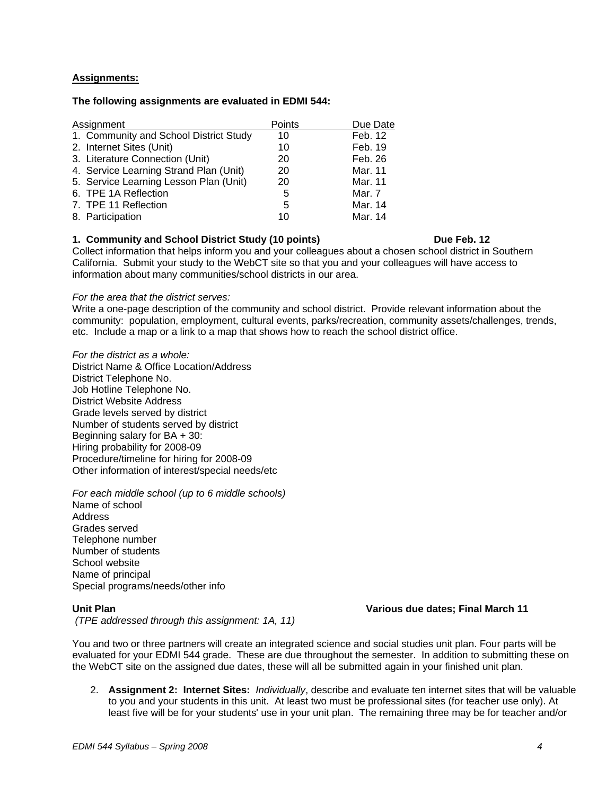#### **Assignments:**

#### **The following assignments are evaluated in EDMI 544:**

| Assignment                             | Points | Due Date |
|----------------------------------------|--------|----------|
| 1. Community and School District Study | 10     | Feb. 12  |
| 2. Internet Sites (Unit)               | 10     | Feb. 19  |
| 3. Literature Connection (Unit)        | 20     | Feb. 26  |
| 4. Service Learning Strand Plan (Unit) | 20     | Mar. 11  |
| 5. Service Learning Lesson Plan (Unit) | 20     | Mar. 11  |
| 6. TPE 1A Reflection                   | 5      | Mar. 7   |
| 7. TPE 11 Reflection                   | 5      | Mar. 14  |
| 8. Participation                       | 10     | Mar. 14  |

#### **1. Community and School District Study (10 points) Due Feb. 12**

Collect information that helps inform you and your colleagues about a chosen school district in Southern California. Submit your study to the WebCT site so that you and your colleagues will have access to information about many communities/school districts in our area.

*For the area that the district serves:* 

Write a one-page description of the community and school district. Provide relevant information about the community: population, employment, cultural events, parks/recreation, community assets/challenges, trends, etc. Include a map or a link to a map that shows how to reach the school district office.

*For the district as a whole:*  District Name & Office Location/Address District Telephone No. Job Hotline Telephone No. District Website Address Grade levels served by district Number of students served by district Beginning salary for BA + 30: Hiring probability for 2008-09 Procedure/timeline for hiring for 2008-09 Other information of interest/special needs/etc

*For each middle school (up to 6 middle schools)* 

Name of school **Address** Grades served Telephone number Number of students School website Name of principal Special programs/needs/other info

**Unit Plan Various due dates; Final March 11** 

 *(TPE addressed through this assignment: 1A, 11)* 

You and two or three partners will create an integrated science and social studies unit plan. Four parts will be evaluated for your EDMI 544 grade. These are due throughout the semester. In addition to submitting these on the WebCT site on the assigned due dates, these will all be submitted again in your finished unit plan.

2. **Assignment 2: Internet Sites:** *Individually*, describe and evaluate ten internet sites that will be valuable to you and your students in this unit. At least two must be professional sites (for teacher use only). At least five will be for your students' use in your unit plan. The remaining three may be for teacher and/or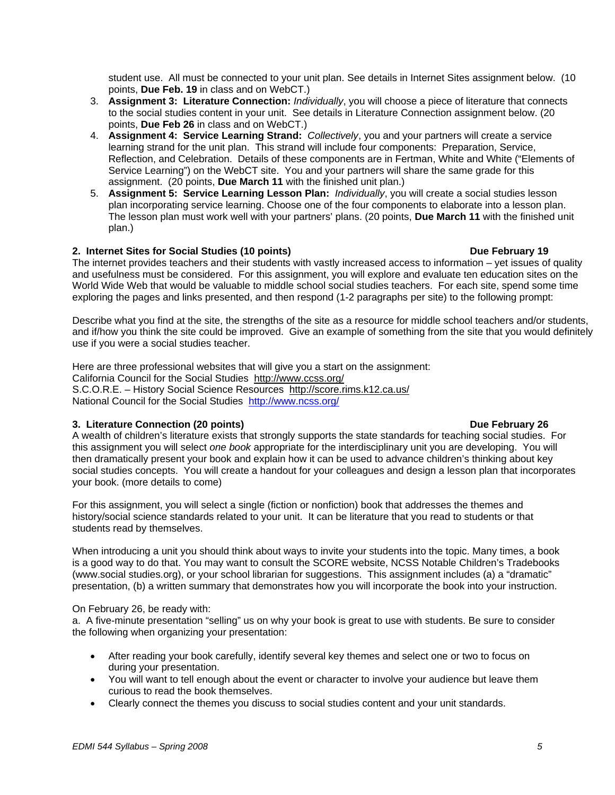student use. All must be connected to your unit plan. See details in Internet Sites assignment below. (10 points, **Due Feb. 19** in class and on WebCT.)

- 3. **Assignment 3: Literature Connection:** *Individually*, you will choose a piece of literature that connects to the social studies content in your unit. See details in Literature Connection assignment below. (20 points, **Due Feb 26** in class and on WebCT.)
- 4. **Assignment 4: Service Learning Strand:** *Collectively*, you and your partners will create a service learning strand for the unit plan. This strand will include four components: Preparation, Service, Reflection, and Celebration. Details of these components are in Fertman, White and White ("Elements of Service Learning") on the WebCT site. You and your partners will share the same grade for this assignment. (20 points, **Due March 11** with the finished unit plan.)
- 5. **Assignment 5: Service Learning Lesson Plan:** *Individually*, you will create a social studies lesson plan incorporating service learning. Choose one of the four components to elaborate into a lesson plan. The lesson plan must work well with your partners' plans. (20 points, **Due March 11** with the finished unit plan.)

### **2. Internet Sites for Social Studies (10 points) Due February 19**

The internet provides teachers and their students with vastly increased access to information – yet issues of quality and usefulness must be considered. For this assignment, you will explore and evaluate ten education sites on the World Wide Web that would be valuable to middle school social studies teachers. For each site, spend some time exploring the pages and links presented, and then respond (1-2 paragraphs per site) to the following prompt:

Describe what you find at the site, the strengths of the site as a resource for middle school teachers and/or students, and if/how you think the site could be improved. Give an example of something from the site that you would definitely use if you were a social studies teacher.

Here are three professional websites that will give you a start on the assignment: California Council for the Social Studies http://www.ccss.org/ S.C.O.R.E. – History Social Science Resources http://score.rims.k12.ca.us/ National Council for the Social Studies http://www.ncss.org/

### **3. Literature Connection (20 points) Due February 26**

A wealth of children's literature exists that strongly supports the state standards for teaching social studies. For this assignment you will select *one book* appropriate for the interdisciplinary unit you are developing. You will then dramatically present your book and explain how it can be used to advance children's thinking about key social studies concepts. You will create a handout for your colleagues and design a lesson plan that incorporates your book. (more details to come)

For this assignment, you will select a single (fiction or nonfiction) book that addresses the themes and history/social science standards related to your unit. It can be literature that you read to students or that students read by themselves.

When introducing a unit you should think about ways to invite your students into the topic. Many times, a book is a good way to do that. You may want to consult the SCORE website, NCSS Notable Children's Tradebooks (www.social studies.org), or your school librarian for suggestions. This assignment includes (a) a "dramatic" presentation, (b) a written summary that demonstrates how you will incorporate the book into your instruction.

### On February 26, be ready with:

a. A five-minute presentation "selling" us on why your book is great to use with students. Be sure to consider the following when organizing your presentation:

- After reading your book carefully, identify several key themes and select one or two to focus on during your presentation.
- You will want to tell enough about the event or character to involve your audience but leave them curious to read the book themselves.
- Clearly connect the themes you discuss to social studies content and your unit standards.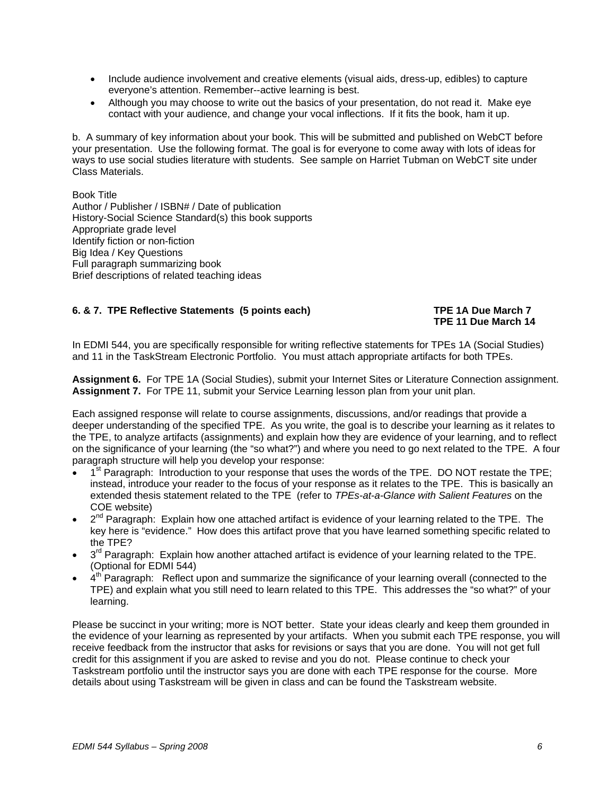- Include audience involvement and creative elements (visual aids, dress-up, edibles) to capture everyone's attention. Remember--active learning is best.
- Although you may choose to write out the basics of your presentation, do not read it. Make eye contact with your audience, and change your vocal inflections. If it fits the book, ham it up.

b. A summary of key information about your book. This will be submitted and published on WebCT before your presentation. Use the following format. The goal is for everyone to come away with lots of ideas for ways to use social studies literature with students. See sample on Harriet Tubman on WebCT site under Class Materials.

Book Title Author / Publisher / ISBN# / Date of publication History-Social Science Standard(s) this book supports Appropriate grade level Identify fiction or non-fiction Big Idea / Key Questions Full paragraph summarizing book Brief descriptions of related teaching ideas

### **6. & 7. TPE Reflective Statements (5 points each) TPE 1A Due March 7**

# **TPE 11 Due March 14**

In EDMI 544, you are specifically responsible for writing reflective statements for TPEs 1A (Social Studies) and 11 in the TaskStream Electronic Portfolio. You must attach appropriate artifacts for both TPEs.

**Assignment 6.** For TPE 1A (Social Studies), submit your Internet Sites or Literature Connection assignment. **Assignment 7.** For TPE 11, submit your Service Learning lesson plan from your unit plan.

Each assigned response will relate to course assignments, discussions, and/or readings that provide a deeper understanding of the specified TPE. As you write, the goal is to describe your learning as it relates to the TPE, to analyze artifacts (assignments) and explain how they are evidence of your learning, and to reflect on the significance of your learning (the "so what?") and where you need to go next related to the TPE. A four paragraph structure will help you develop your response:

- 1<sup>st</sup> Paragraph: Introduction to your response that uses the words of the TPE. DO NOT restate the TPE; instead, introduce your reader to the focus of your response as it relates to the TPE. This is basically an extended thesis statement related to the TPE (refer to *TPEs-at-a-Glance with Salient Features* on the COE website)
- $2^{nd}$  Paragraph: Explain how one attached artifact is evidence of your learning related to the TPE. The key here is "evidence." How does this artifact prove that you have learned something specific related to the TPE?
- $3<sup>rd</sup>$  Paragraph: Explain how another attached artifact is evidence of your learning related to the TPE. (Optional for EDMI 544)
- $4<sup>th</sup>$  Paragraph: Reflect upon and summarize the significance of your learning overall (connected to the TPE) and explain what you still need to learn related to this TPE. This addresses the "so what?" of your learning.

Please be succinct in your writing; more is NOT better. State your ideas clearly and keep them grounded in the evidence of your learning as represented by your artifacts. When you submit each TPE response, you will receive feedback from the instructor that asks for revisions or says that you are done. You will not get full credit for this assignment if you are asked to revise and you do not. Please continue to check your Taskstream portfolio until the instructor says you are done with each TPE response for the course. More details about using Taskstream will be given in class and can be found the Taskstream website.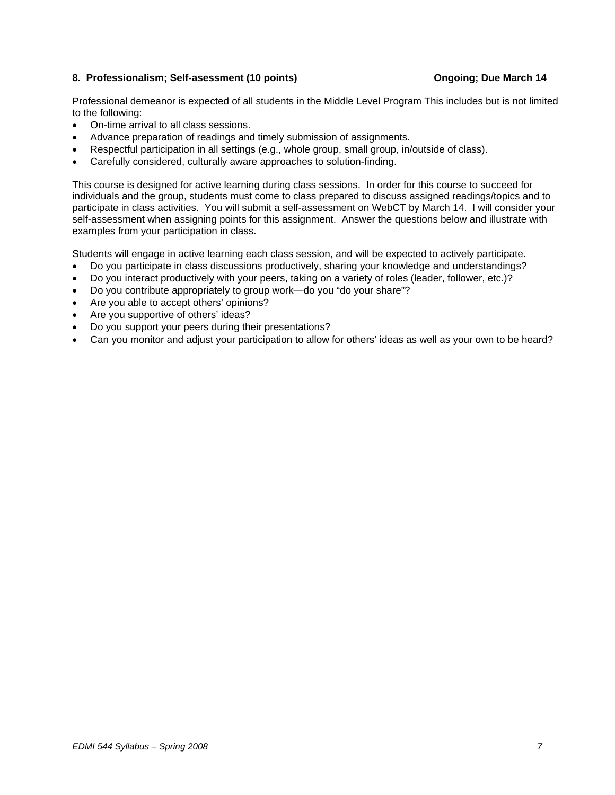#### 8. Professionalism; Self-asessment (10 points) **Communist Communist Communist Communist Communist Communist Communist Communist Communist Communist Communist Communist Communist Communist Communist Communist Communist Comm**

Professional demeanor is expected of all students in the Middle Level Program This includes but is not limited to the following:

- On-time arrival to all class sessions.
- Advance preparation of readings and timely submission of assignments.
- Respectful participation in all settings (e.g., whole group, small group, in/outside of class).
- Carefully considered, culturally aware approaches to solution-finding.

This course is designed for active learning during class sessions. In order for this course to succeed for individuals and the group, students must come to class prepared to discuss assigned readings/topics and to participate in class activities. You will submit a self-assessment on WebCT by March 14. I will consider your self-assessment when assigning points for this assignment. Answer the questions below and illustrate with examples from your participation in class.

Students will engage in active learning each class session, and will be expected to actively participate.

- Do you participate in class discussions productively, sharing your knowledge and understandings?
- Do you interact productively with your peers, taking on a variety of roles (leader, follower, etc.)?
- Do you contribute appropriately to group work—do you "do your share"?
- Are you able to accept others' opinions?
- Are you supportive of others' ideas?
- Do you support your peers during their presentations?
- Can you monitor and adjust your participation to allow for others' ideas as well as your own to be heard?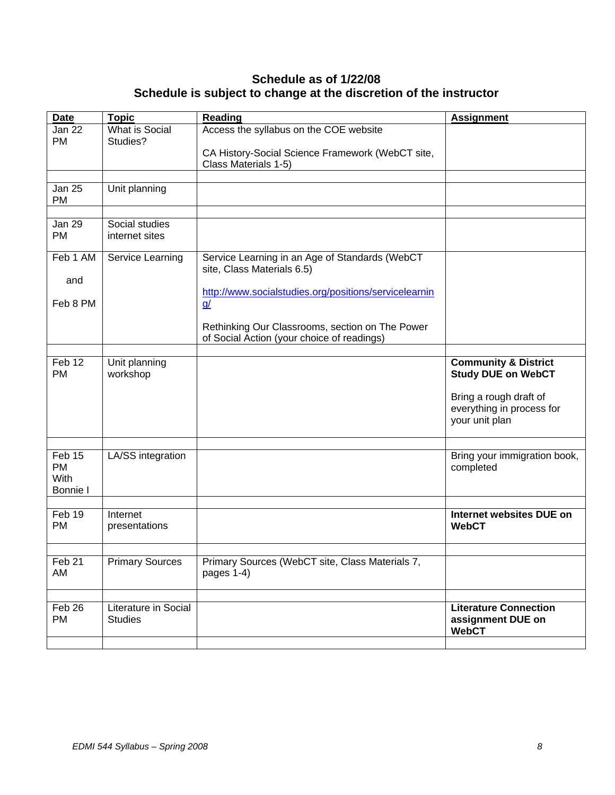# **Schedule as of 1/22/08 Schedule is subject to change at the discretion of the instructor**

| <b>Date</b>       | <b>Topic</b>           | <b>Reading</b>                                                           | <b>Assignment</b>               |
|-------------------|------------------------|--------------------------------------------------------------------------|---------------------------------|
| <b>Jan 22</b>     | What is Social         | Access the syllabus on the COE website                                   |                                 |
| <b>PM</b>         | Studies?               |                                                                          |                                 |
|                   |                        |                                                                          |                                 |
|                   |                        | CA History-Social Science Framework (WebCT site,<br>Class Materials 1-5) |                                 |
|                   |                        |                                                                          |                                 |
| <b>Jan 25</b>     | Unit planning          |                                                                          |                                 |
| PM                |                        |                                                                          |                                 |
|                   |                        |                                                                          |                                 |
| <b>Jan 29</b>     | Social studies         |                                                                          |                                 |
| <b>PM</b>         | internet sites         |                                                                          |                                 |
|                   |                        |                                                                          |                                 |
| Feb 1 AM          | Service Learning       | Service Learning in an Age of Standards (WebCT                           |                                 |
|                   |                        | site, Class Materials 6.5)                                               |                                 |
| and               |                        |                                                                          |                                 |
|                   |                        | http://www.socialstudies.org/positions/servicelearnin                    |                                 |
| Feb 8 PM          |                        | $\underline{g}$                                                          |                                 |
|                   |                        |                                                                          |                                 |
|                   |                        | Rethinking Our Classrooms, section on The Power                          |                                 |
|                   |                        | of Social Action (your choice of readings)                               |                                 |
|                   |                        |                                                                          |                                 |
| Feb 12            | Unit planning          |                                                                          | <b>Community &amp; District</b> |
| <b>PM</b>         | workshop               |                                                                          | <b>Study DUE on WebCT</b>       |
|                   |                        |                                                                          |                                 |
|                   |                        |                                                                          | Bring a rough draft of          |
|                   |                        |                                                                          | everything in process for       |
|                   |                        |                                                                          | your unit plan                  |
|                   |                        |                                                                          |                                 |
| Feb 15            |                        |                                                                          | Bring your immigration book,    |
| <b>PM</b>         | LA/SS integration      |                                                                          |                                 |
| <b>With</b>       |                        |                                                                          | completed                       |
| <b>Bonnie I</b>   |                        |                                                                          |                                 |
|                   |                        |                                                                          |                                 |
| Feb 19            | Internet               |                                                                          | Internet websites DUE on        |
| <b>PM</b>         | presentations          |                                                                          | <b>WebCT</b>                    |
|                   |                        |                                                                          |                                 |
|                   |                        |                                                                          |                                 |
| Feb <sub>21</sub> | <b>Primary Sources</b> | Primary Sources (WebCT site, Class Materials 7,                          |                                 |
| AM                |                        | pages 1-4)                                                               |                                 |
|                   |                        |                                                                          |                                 |
|                   |                        |                                                                          |                                 |
| Feb 26            | Literature in Social   |                                                                          | <b>Literature Connection</b>    |
| PM                | <b>Studies</b>         |                                                                          | assignment DUE on               |
|                   |                        |                                                                          | <b>WebCT</b>                    |
|                   |                        |                                                                          |                                 |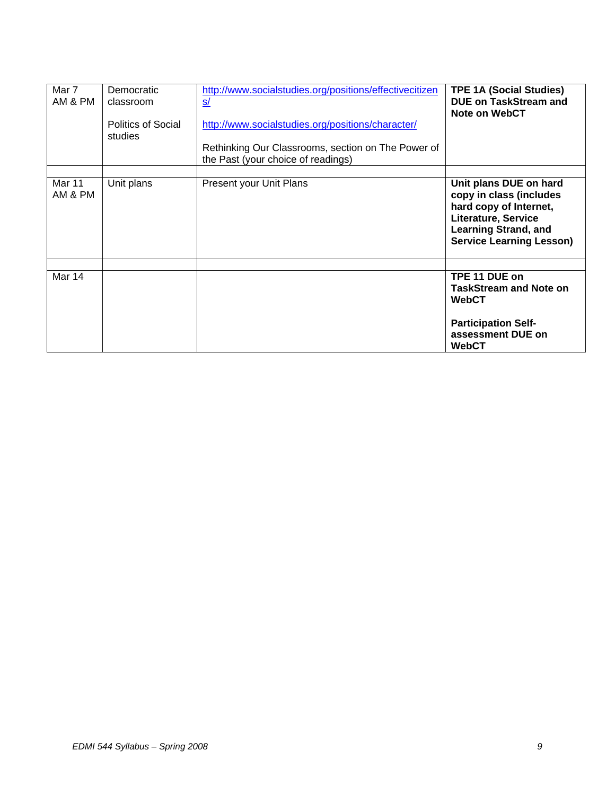| Mar 7<br>AM & PM  | Democratic<br>classroom<br>Politics of Social<br>studies | http://www.socialstudies.org/positions/effectivecitizen<br><u>s/</u><br>http://www.socialstudies.org/positions/character/<br>Rethinking Our Classrooms, section on The Power of<br>the Past (your choice of readings) | <b>TPE 1A (Social Studies)</b><br><b>DUE on TaskStream and</b><br><b>Note on WebCT</b>                                                                               |
|-------------------|----------------------------------------------------------|-----------------------------------------------------------------------------------------------------------------------------------------------------------------------------------------------------------------------|----------------------------------------------------------------------------------------------------------------------------------------------------------------------|
| Mar 11<br>AM & PM | Unit plans                                               | Present your Unit Plans                                                                                                                                                                                               | Unit plans DUE on hard<br>copy in class (includes<br>hard copy of Internet,<br>Literature, Service<br><b>Learning Strand, and</b><br><b>Service Learning Lesson)</b> |
| Mar 14            |                                                          |                                                                                                                                                                                                                       | TPE 11 DUE on<br><b>TaskStream and Note on</b><br>WebCT<br><b>Participation Self-</b><br>assessment DUE on<br><b>WebCT</b>                                           |